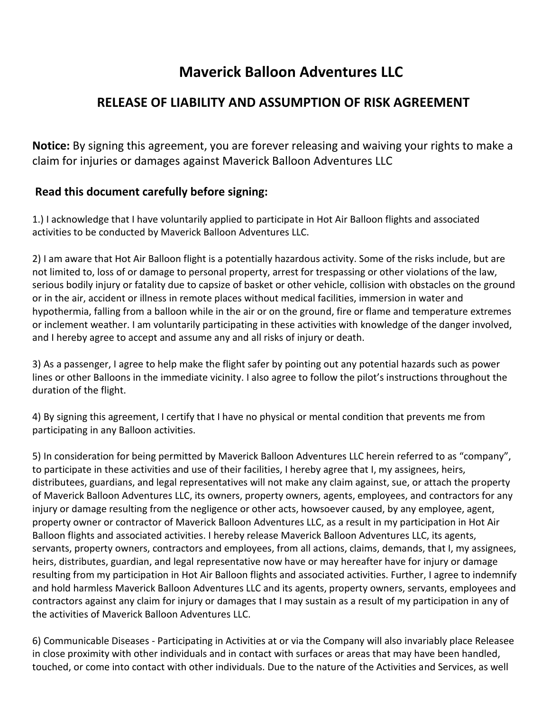## **Maverick Balloon Adventures LLC**

## **RELEASE OF LIABILITY AND ASSUMPTION OF RISK AGREEMENT**

**Notice:** By signing this agreement, you are forever releasing and waiving your rights to make a claim for injuries or damages against Maverick Balloon Adventures LLC

## **Read this document carefully before signing:**

1.) I acknowledge that I have voluntarily applied to participate in Hot Air Balloon flights and associated activities to be conducted by Maverick Balloon Adventures LLC.

2) I am aware that Hot Air Balloon flight is a potentially hazardous activity. Some of the risks include, but are not limited to, loss of or damage to personal property, arrest for trespassing or other violations of the law, serious bodily injury or fatality due to capsize of basket or other vehicle, collision with obstacles on the ground or in the air, accident or illness in remote places without medical facilities, immersion in water and hypothermia, falling from a balloon while in the air or on the ground, fire or flame and temperature extremes or inclement weather. I am voluntarily participating in these activities with knowledge of the danger involved, and I hereby agree to accept and assume any and all risks of injury or death.

3) As a passenger, I agree to help make the flight safer by pointing out any potential hazards such as power lines or other Balloons in the immediate vicinity. I also agree to follow the pilot's instructions throughout the duration of the flight.

4) By signing this agreement, I certify that I have no physical or mental condition that prevents me from participating in any Balloon activities.

5) In consideration for being permitted by Maverick Balloon Adventures LLC herein referred to as "company", to participate in these activities and use of their facilities, I hereby agree that I, my assignees, heirs, distributees, guardians, and legal representatives will not make any claim against, sue, or attach the property of Maverick Balloon Adventures LLC, its owners, property owners, agents, employees, and contractors for any injury or damage resulting from the negligence or other acts, howsoever caused, by any employee, agent, property owner or contractor of Maverick Balloon Adventures LLC, as a result in my participation in Hot Air Balloon flights and associated activities. I hereby release Maverick Balloon Adventures LLC, its agents, servants, property owners, contractors and employees, from all actions, claims, demands, that I, my assignees, heirs, distributes, guardian, and legal representative now have or may hereafter have for injury or damage resulting from my participation in Hot Air Balloon flights and associated activities. Further, I agree to indemnify and hold harmless Maverick Balloon Adventures LLC and its agents, property owners, servants, employees and contractors against any claim for injury or damages that I may sustain as a result of my participation in any of the activities of Maverick Balloon Adventures LLC.

6) Communicable Diseases - Participating in Activities at or via the Company will also invariably place Releasee in close proximity with other individuals and in contact with surfaces or areas that may have been handled, touched, or come into contact with other individuals. Due to the nature of the Activities and Services, as well